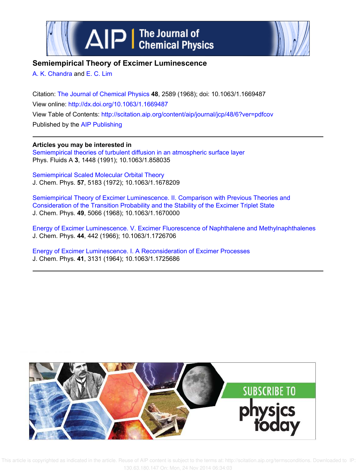



# **Semiempirical Theory of Excimer Luminescence**

A. K. Chandra and E. C. Lim

Citation: The Journal of Chemical Physics **48**, 2589 (1968); doi: 10.1063/1.1669487 View online: http://dx.doi.org/10.1063/1.1669487 View Table of Contents: http://scitation.aip.org/content/aip/journal/jcp/48/6?ver=pdfcov Published by the AIP Publishing

**Articles you may be interested in** Semiempirical theories of turbulent diffusion in an atmospheric surface layer Phys. Fluids A **3**, 1448 (1991); 10.1063/1.858035

Semiempirical Scaled Molecular Orbital Theory J. Chem. Phys. **57**, 5183 (1972); 10.1063/1.1678209

Semiempirical Theory of Excimer Luminescence. II. Comparison with Previous Theories and Consideration of the Transition Probability and the Stability of the Excimer Triplet State J. Chem. Phys. **49**, 5066 (1968); 10.1063/1.1670000

Energy of Excimer Luminescence. V. Excimer Fluorescence of Naphthalene and Methylnaphthalenes J. Chem. Phys. **44**, 442 (1966); 10.1063/1.1726706

Energy of Excimer Luminescence. I. A Reconsideration of Excimer Processes J. Chem. Phys. **41**, 3131 (1964); 10.1063/1.1725686



 This article is copyrighted as indicated in the article. Reuse of AIP content is subject to the terms at: http://scitation.aip.org/termsconditions. Downloaded to IP: 130.63.180.147 On: Mon, 24 Nov 2014 06:34:03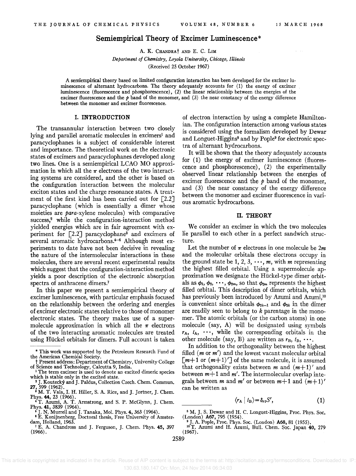## Semiempirical Theory of Excimer Luminescence\*

A. K. CHANDRAt AND E. C. LIM

*Department of Chemistry, Loyola University, Chicago, Illinois*  (Received 25 October 1967)

A semiempirical theory based on limited configuration interaction has been developed for the excimer luminescence of altemant hydrocarbons. The theory adequately accounts for (1) the energy of excimer luminescence (fluorescence and phosphorescence), (2) the linear relationship between the energies of the excimer fluorescence and the *p* band of the monomer, and (3) the near constancy of the energy difference between the monomer and excimer fluorescence.

#### I. INTRODUCTION

The transannular interaction between two closely lying and parallel aromatic molecules in excimers<sup>1</sup> and paracyclophanes is a subject of considerable interest and importance. The theoretical work on the electronic states of excimers and paracyclophanes developed along two lines. One is a semiempirical LCAO MO approximation in which all the  $\pi$  electrons of the two interacting systems are considered, and the other is based on the configuration interaction between the molecular exciton states and the charge resonance states. A treatment of the first kind has been carried out for  $[2.2]$ paracyclophane (which is essentially a dimer whose moieties are para-xylene molecules) with comparative success,<sup>2</sup> while the configuration-interaction method yielded energies which are in fair agreement with experiment for  $\lceil 2.2 \rceil$  paracyclophane<sup>3</sup> and excimers of several aromatic hydrocarbons.<sup>4-6</sup> Although most experiments to date have not been decisive in revealing the nature of the intermolecular interactions in these molecules, there are several recent experimental results which suggest that the configuration-interaction method yields a poor description of the electronic absorption spectra of anthracene dimers.<sup>7</sup>

In this paper we present a semiempirical theory of excimer luminescence, with particular emphasis focused on the relationship between the ordering and energies of excimer electronic states relative to those of monomer electronic states. The theory makes use of a supermolecule approximation in which all the  $\pi$  electrons of the two interacting aromatic molecules are treated using Hückel orbitals for dimers. Full account is taken

of electron interaction by using a complete Hamiltonian. The configuration interaction among various states is considered using the formalism developed by Dewar and Longuet-Higgins<sup>8</sup> and by Pople<sup>9</sup> for electronic spectra of alternant hydrocarbons.

It will be shown that the theory adequately accounts for (1) the energy of excimer luminescence (fluorescence and phosphorescence), (2) the experimentally observed linear relationship between the energies of excimer fluorescence and the  $p$  band of the monomer, and (3) the near constancy of the energy difference between the monomer and excimer fluorescence in various aromatic hydrocarbons.

#### II. THEORY

We consider an excimer in which the two molecules lie parallel to each other in a perfect sandwich structure.

Let the number of  $\pi$  electrons in one molecule be  $2m$ and the molecular orbitals these electrons occupy in the ground state be 1, 2, 3,  $\cdots$ , *m*, with *m* representing the highest filled orbital. Using a supermolecule approximation we designate the RUckel-type dimer orbitals as  $\phi_1, \phi_2, \cdots, \phi_{2m}$ , so that  $\phi_{2m}$  represents the highest filled orbital. This description of dimer orbitals, which has previously been introduced by Azumi and Azumi,<sup>10</sup> is convenient since orbitals  $\phi_{2k-1}$  and  $\phi_{2k}$  in the dimer are readily seen to belong to *k* parentage in the monomer. The atomic orbitals (or the carbon atoms) in one molecule (say, A) will be designated using symbols  $r_A$ ,  $t_A$ ,  $\cdots$ , while the corresponding orbitals in the other molecule (say, B) are written as  $r_B$ ,  $t_B$ ,  $\cdots$ .

In addition to the orthogonality between the highest filled *(m* or *m')* and the lowest vacant molecular orbital  $\lceil m+1 \rceil$  or  $(m+1)$ <sup> $\lceil m \rceil$ </sup> of the same molecule, it is assumed that orthogonality exists between  $m$  and  $(m+1)'$  and between *m+1* and *m'.* The intermolecular overlap integrals between *m* and *m'* or between  $m+1$  and  $(m+1)$ ' can be written as

$$
\langle r_{\mathbf{A}} \mid t_{\mathbf{B}} \rangle = \delta_{rt} S', \tag{1}
$$

 This article is copyrighted as indicated in the article. Reuse of AIP content is subject to the terms at: http://scitation.aip.org/termsconditions. Downloaded to IP: 130.63.180.147 On: Mon, 24 Nov 2014 06:34:03

<sup>\*</sup> This work was supported by the Petroleum Research Fund of the American Chemical Society.

t Present address: Department of Chemistry, University College of Science and Technology, Calcutta 9, India.

<sup>&</sup>lt;sup>1</sup> The term excimer is used to denote an excited dimeric species which is stable only in the excited state.

<sup>&</sup>lt;sup>2</sup> J. Koutecký and J. Paldus, Collection Czech. Chem. Commun.<br>27, 599 (1962). • M. T. Vala, 1. H. Hiller, S. A. Rice, and J. Jortner, J. Chem.

Phys. 44, 23 (1966).<br>
4T. Azumi, A. T. Armstrong, and S. P. McGlynn, J. Chem.<br>
Phys. 41, 3839 (1964).<br>
<sup>8</sup> M. J. S. Dewar and H. C. Longuet-Higgins, Proc. Phys. Soc.<br>
<sup>8</sup> M. J. S. Dewar and H. C. Longuet-Higgins, Proc. Ph

<sup>&</sup>lt;sup>6</sup> E. Konijnenberg, Doctoral thesis, Free University of Amsterdam, Holland, 1963. 9 J. A. Pople, Proc. Phys. Soc. (London) A68, 81 (1955). F. R. Chandress and J. Fanaka, Nob. 1 Hys. 45, 300 (1904).<br>
The Modon A67, 795 (1954).<br>
dam, Holland, 1963.<br>
dam, Holland, 1963.<br>
<sup>7</sup>E. A. Chandross and J. Ferguson, J. Chem. Phys. 45, 397 <sup>10</sup> T. Azumi and H. Azumi, Bull.

 $(1966)$ . (1967).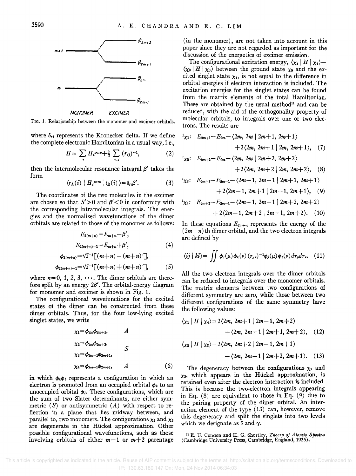

*MONOMER EXC/MER* 

FIG. 1. Relationship between the monomer and excimer orbitals.

where  $\delta_{rt}$  represents the Kronecker delta. If we define the complete electronic Hamiltonian in a usual way, i.e.,

$$
H = \sum_{i} H_{i}^{\text{core}} + \frac{1}{2} \sum_{i,j} (r_{ij})^{-1}, \qquad (2)
$$

then the intermolecular resonance integral  $\beta'$  takes the form

$$
\langle r_{\mathbf{A}}(i) | H_{i}^{\text{core}} | t_{\mathbf{B}}(i) \rangle = \delta_{r} \beta'. \tag{3}
$$

The coordinates of the two molecules in the excimer are chosen so that  $S' > 0$  and  $\beta' < 0$  in conformity with the corresponding intramolecular integrals. The energies and the normalized wavefunctions of the dimer orbitals are related to those of the monomer as follows:

$$
E_{2(m+n)} = E_{m+n} - \beta',
$$
  
\n
$$
E_{2(m+n)-1} = E_{m+n} + \beta',
$$
\n(4)

$$
\phi_{2(m+n)} = \sqrt{2}^{-1} [(m+n) - (m+n)'] ,
$$
  
\n
$$
\phi_{2(m+n)-1} = \sqrt{2}^{-1} [(m+n) + (m+n)'] , \qquad (5)
$$

where  $n=0, 1, 2, 3, \cdots$ . The dimer orbitals are therefore split by an energy *2{3'.* The orbital-energy diagram for monomer and excimer is shown in Fig. 1.

The configurational wavefunctions for the excited states of the dimer can be constructed from these dimer orbitals. Thus, for the four low-lying excited singlet states, we write

$$
\chi_1 = \phi_{2m}\phi_{2m+1}, \qquad A
$$
  
\n
$$
\chi_2 = \phi_{2m}\phi_{2m+2}, \qquad S
$$
  
\n
$$
\chi_3 = \phi_{2m-1}\phi_{2m+1}, \qquad S
$$
  
\n
$$
\chi_4 = \phi_{2m-1}\phi_{2m+2}, \qquad A
$$
  
\n(6)

in which  $\phi_k \phi_l$  represents a configuration in which an electron is promoted from an occupied orbital  $\phi_k$  to an unoccupied orbital  $\phi_i$ . These configurations, which are the sum of two Slater determinants, are either symmetric  $(S)$  or antisymmetric  $(A)$  with respect to reflection in a plane that lies midway between, and parallel to, two monomers. The configurations  $\chi_2$  and  $\chi_3$ are degenerate in the Huckel approximation. Other possible configurational wavefunctions, such as those involving orbitals of either  $m-1$  or  $m+2$  parentage

(in the monomer), are not taken into account in this paper since they are not regarded as important for the discussion of the energetics of excimer emission.

The configurational excitation energy,  $\langle \chi_i | H | \chi_i \rangle$ - $\langle \chi_0 | H | \chi_0 \rangle$  between the ground state  $\chi_0$  and the excited singlet state  $\chi_i$ , is not equal to the difference in orbital energies if electron interaction is included. The excitation energies for the singlet states can be found from the matrix elements of the total Hamiltonian. These are obtained by the usual method $11$  and can be reduced, with the aid of the orthogonality property of molecular orbitals, to integrals over one or two electrons. The results are

$$
E_{2m+1} - E_{2m} - \langle 2m, 2m \mid 2m+1, 2m+1 \rangle
$$
  
+2\langle 2m, 2m+1 \mid 2m, 2m+1 \rangle, (7)  

$$
E_{2m+2} - E_{2m} - \langle 2m, 2m \mid 2m+2, 2m+2 \rangle
$$
  
+2\langle 2m, 2m+2 \mid 2m, 2m+2 \rangle, (8)

$$
E_{2m+1}-E_{2m-1}-\langle 2m-1, 2m-1 | 2m+1, 2m+1 \rangle
$$

$$
+2\langle 2m-1, 2m+1 | 2m-1, 2m+1 \rangle
$$
, (9)

$$
E_{2m+2} - E_{2m-1} - \langle 2m-1, 2m-1 | 2m+2, 2m+2 \rangle + 2\langle 2m-1, 2m+2 | 2m-1, 2m+2 \rangle.
$$
 (10)

In these equations  $E_{2m+n}$  represents the energy of the  $(2m+n)$  th dimer orbital, and the two electron integrals are defined by

$$
\langle ij \mid kl \rangle = \iint \phi_i(\mu) \phi_k(\nu) \left( r_{\mu\nu} \right)^{-1} \phi_j(\mu) \phi_l(\nu) d\tau_{\mu} d\tau_{\nu}. \quad (11)
$$

All the two electron integrals over the dimer orbitals can be reduced to integrals over the monomer orbitals. The matrix elements between two configurations of different symmetry are zero, while those between two different configurations of the same symmetry have the following values:

$$
\langle \chi_1 | H | \chi_4 \rangle = 2 \langle 2m, 2m+1 | 2m-1, 2m+2 \rangle
$$
  
 
$$
- \langle 2m, 2m-1 | 2m+1, 2m+2 \rangle, \quad (12)
$$
  
 
$$
\langle \chi_2 | H | \chi_3 \rangle = 2 \langle 2m, 2m+2 | 2m-1, 2m+1 \rangle
$$

$$
-\langle 2m, 2m-1 \mid 2m+2, 2m+1 \rangle. \quad (13)
$$

The degeneracy between the configurations  $\chi_2$  and  $x_3$ , which appears in the Hückel approximation, is retained even after the electron interaction is included. This is because the two-electron integrals appearing in Eq. (8) are equivalent to those in Eq. (9) due to the pairing property of the dimer orbital. An interaction element of the type (13) can, however, remove this degeneracy and split the singlets into two levels which we designate as  $\delta$  and  $\gamma$ .

<sup>11</sup> E. U. Condon and H. G. Shortley, *Theory of Atomic Spectra* (Cambridge University Press, Cambridge, England, 1935).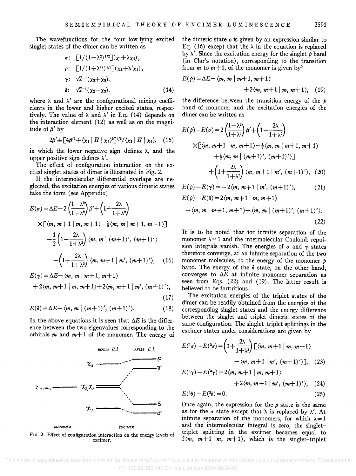The wavefunctions for the four low-lying excited singlet states of the dimer can be written as

$$
\sigma: \begin{bmatrix} 1/(1+\lambda^2)^{1/2} \big] (x_1 + \lambda x_4), \\ \rho: \begin{bmatrix} 1/(1+\lambda'^2)^{1/2} \big] (x_1 + \lambda' x_4), \\ \gamma: \sqrt{2}^{-1} (x_2 + x_8), \end{bmatrix}, \\ \delta: \sqrt{2}^{-1} (x_2 - x_3), \end{bmatrix} \tag{14}
$$

where  $\lambda$  and  $\lambda'$  are the configurational mixing coefficients in the lower and higher excited states, respectively. The value of  $\lambda$  and  $\lambda'$  in Eq. (14) depends on the interaction element (12) as well as on the magnitude of  $\beta'$  by

$$
2\beta' \pm \left[4\beta'^2 + \langle \chi_1 \mid H \mid \chi_4 \rangle^2 \right]^{1/2} / \langle \chi_1 \mid H \mid \chi_4 \rangle, \quad (15)
$$

in which the lower negative sign defines  $\lambda$ , and the upper positive sign defines  $\lambda'$ .

The effect of configuration interaction on the excited singlet states of dimer is illustrated in Fig. 2.

If the intermolecular differential overlaps are neglected, the excitation energies of various dimeric states take the form (see Appendix)

$$
E(\sigma) = \Delta E - 2\left(\frac{1-\lambda^2}{1+\lambda^2}\right)\beta' + \left(1+\frac{2\lambda}{1+\lambda^2}\right)
$$
  
×[ $\langle m, m+1 | m, m+1 \rangle - \frac{1}{2} \langle m, m | m+1, m+1 \rangle$ ]  
 $-\frac{1}{2}\left(1-\frac{2\lambda}{1+\lambda^2}\right) \langle m, m | (m+1)', (m+1)' \rangle$   
 $-(1+\frac{2\lambda}{1+\lambda^2}) \langle m, m+1 | m', (m+1)' \rangle, (16)$ 

$$
E(\gamma) = \Delta E - \langle m, m \mid m+1, m+1 \rangle
$$
  
+2\langle m, m+1 \mid m, m+1 \rangle + 2\langle m, m+1 \mid m', (m+1)' \rangle, (17)

$$
E(\delta) = \Delta E - \langle m, m \mid (m+1)', (m+1)' \rangle. \tag{18}
$$

In the above equations it is seen that  $\Delta E$  is the difference between the two eigenvalues corresponding to the orbitals  $m$  and  $m+1$  of the monomer. The energy of



FIG. 2. Effect of configuration interaction on the energy levels of excimer.

the dimeric state  $\rho$  is given by an expression similar to Eq. (16) except that the  $\lambda$  in the equation is replaced by X'. Since the excitation energy for the singlet *p* band (in Clar's notation), corresponding to the transition from *m* to  $m+1$ , of the monomer is given by<sup>9</sup>

$$
E(p) = \Delta E - \langle m, m \mid m+1, m+1 \rangle
$$
  
+2\langle m, m+1 \mid m, m+1 \rangle, (19)

the difference between the transition energy of the *p*  band of monomer and the excitation energies of the dimer can be written as

$$
E(p)-E(\sigma) = 2\left(\frac{1-\lambda^2}{1+\lambda^2}\right)\beta' + \left(1-\frac{2\lambda}{1+\lambda^2}\right)
$$
  
× $\left[\langle m, m+1 \mid m, m+1\rangle - \frac{1}{2}\langle m, m \mid m+1, m+1\rangle + \frac{1}{2}\langle m, m \mid (m+1)' , (m+1)' \rangle\right]$   
+ $\left(1+\frac{2\lambda}{1+\lambda^2}\right)\langle m, m+1 \mid m', (m+1)' \rangle$ , (20)

$$
E(p) - E(\gamma) = -2\langle m, m+1 | m', (m+1)' \rangle, \qquad (21)
$$
  

$$
E(p) - E(\delta) = 2\langle m, m+1 | m, m+1 \rangle
$$

$$
-\langle m, m \mid m+1, m+1 \rangle + \langle m, m \mid (m+1)', (m+1)' \rangle.
$$
\n(22)

It is to be noted that for infinite separation of the monomer  $\lambda = 1$  and the intermolecular Coulomb repulsion integrals vanish. The energies of  $\sigma$  and  $\gamma$  states therefore converge, at an infinite separation of the two monomer molecules, to the energy of the monomer *p*  band. The energy of the  $\delta$  state, on the other hand, converges to  $\Delta E$  at infinite monomer separation as seen from Eqs. (22) and (19). The latter result is believed to be fortuitious.

The excitation energies of the triplet states of the dimer can be readily obtained from the energies of the corresponding singlet states and the energy difference between the singlet and triplet dimeric states of the same configuration. The singlet-triplet splittings in the excimer states under considerations are given by

$$
E^{(1)}\sigma - E^{(3)}\sigma = \left(1 + \frac{2\lambda}{1 + \lambda^2}\right) \left[\langle m, m+1 \mid m, m+1 \rangle \right.
$$

$$
- \langle m, m+1 \mid m', (m+1)' \rangle \right], \quad (23)
$$

$$
E({}^{1}\gamma)-E({}^{3}\gamma)=2\langle m, m+1 \mid m, m+1 \rangle
$$

$$
+2\langle m, m+1 | m', (m+1)' \rangle
$$
, (24)

$$
E(\sqrt[15]{6}) - E(\sqrt[35]{6}) = 0. \tag{25}
$$

Once again, the expression for the *p* state is the same as for the  $\sigma$  state except that  $\lambda$  is replaced by  $\lambda'$ . At infinite separation of the monomers, for which  $\lambda = 1$ and the intermolecular integral is zero, the singlettriplet splitting in the excimer becomes equal to  $2(m, m+1 \mid m, m+1)$ , which is the singlet-triplet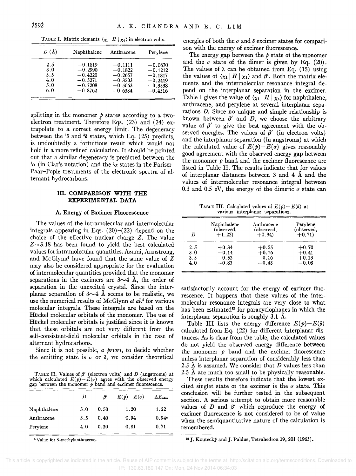| $D(\AA)$ | Naphthalene | Anthracene | Perylene  |
|----------|-------------|------------|-----------|
| 2.5      | $-0.1819$   | $-0.1111$  | $-0.0670$ |
| 3.0      | $-0.2990$   | $-0.1822$  | $-0.1212$ |
| 3.5      | $-0.4220$   | $-0.2657$  | $-0.1817$ |
| 4.0      | $-0.5271$   | $-0.3503$  | $-0.2419$ |
| 5.0      | $-0.7208$   | $-0.5063$  | $-0.3538$ |
| 6.0      | $-0.8762$   | $-0.6384$  | $-0.4516$ |

TABLE I. Matrix elements  $\langle \chi_1 | H | \chi_4 \rangle$  in electron volts.

splitting in the monomer  $\phi$  states according to a twoelectron treatment. Therefore Eqs. (23) and (24) extrapolate to a correct energy limit. The degeneracy between the  $\frac{1}{6}$  and  $\frac{3}{6}$  states, which Eq. (25) predicts, is undoubtedly a fortuitious result which would not hold in a more refined calculation. It should be pointed out that a similar degeneracy is predicted between the  $\alpha$  (in Clar's notation) and the <sup>3</sup> $\alpha$  states in the Pariser-Paar-Pople treatments of the electronic spectra of alternant hydrocarbons.

## III. COMPARISON WITH THE EXPERIMENTAL DATA

#### A. Energy of Excimer Fluorescence

The values of the intramolecular and intermolecular integrals appearing in Eqs.  $(20)-(22)$  depend on the choice of the effective nuclear charge *Z.* The value  $Z = 3.18$  has been found to yield the best calculated values for intramolecular quantities. Azumi, Armstrong, and McGlynn4 have found that the same value of *Z*  may also be considered appropriate for the evaluation of intermolecular quantities provided that the monomer separations in the excimers are  $3\sim4$  Å, the order of separation in the unexcited crystal. Since the interplanar separation of  $3\sim 4$  Å seems to be realistic, we use the numerical results of McGlynn *et al.*<sup>4</sup> for various molecular integrals. These integrals are based on the Hückel molecular orbitals of the monomer. The use of Huckel molecular orbitals is justified since it is known that these orbitals are not very different from the self-consistent-field molecular orbitals in the case of alternant hydrocarbons.

Since it is not possible, *a priori,* to decide whether the emitting state is  $\sigma$  or  $\delta$ , we consider theoretical

TABLE II. Values of  $\beta'$  (electron volts) and  $D$  (angstroms) at which calculated  $E(p) - E(q)$  agree with the observed energy gap between the monomer *p* band and excimer fluorescence.

|             | D   | $-\beta'$ | $E(p)-E(\sigma)$ | $\Delta E_{\rm{obs}}$ |
|-------------|-----|-----------|------------------|-----------------------|
| Naphthalene | 3.0 | 0.50      | 1.20             | 1.22                  |
| Anthracene  | 3.5 | 0.40      | 0.94             | $0.94*$               |
| Perylene    | 4.0 | 0.30      | 0.81             | 0.71                  |
|             |     |           |                  |                       |

• Value for 9-methylanthracene.

energies of both the  $\sigma$  and  $\delta$  excimer states for comparison with the energy of excimer fluorescence.

The energy gap between the *p* state of the monomer and the  $\sigma$  state of the dimer is given by Eq. (20). The values of  $\lambda$  can be obtained from Eq. (15) using the values of  $\langle \chi_1 | H | \chi_4 \rangle$  and  $\beta'$ . Both the matrix elements and the intermolecular resonance integral depend on the interplanar separation in the excimer. Table I gives the value of  $\langle \chi_1 | H | \chi_4 \rangle$  for naphthalene, anthracene, and perylene at several interplanar separations *D.* Since no unique and simple relationship is known between  $\beta'$  and  $D$ , we choose the arbitrary value of  $\beta'$  to give the best agreement with the observed energies. The values of  $\beta'$  (in electron volts) and the interplanar separation (in angstroms) at which the calculated value of  $E(p)-E(q)$  gives reasonably good agreement with the observed energy gap between the monomer *p* band and the excimer fluorescence are listed in Table II. The results indicate that for values of interplanar distances between  $3$  and  $4$   $\AA$  and the values of intermolecular resonance integral between 0.3 and 0.5 eV, the energy of the dimeric  $\sigma$  state can

TABLE III. Calculated values of  $E(p) - E(\delta)$  at various interplanar separations.

| D   | Naphthalene<br>(observed,<br>$+1.22$ | Anthracene<br>(observed,<br>$+0.94$ | Perylene<br>(observed,<br>$+0.71$ |
|-----|--------------------------------------|-------------------------------------|-----------------------------------|
| 2.5 | $+0.34$                              | $+0.55$                             | $+0.70$                           |
| 3.0 | $-0.14$                              | $+0.16$                             | $+0.41$                           |
| 3.5 | $-0.52$                              | $-0.16$                             | $+0.13$                           |
| 4.0 | $-0.83$                              | $-0.43$                             | $-0.08$                           |
|     |                                      |                                     |                                   |

satisfactorily account for the energy of excimer fluorescence. It happens that these values of the intermolecular resonance integrals are very close to what has been estimated<sup>12</sup> for paracyclophanes in which the interplanar separation is roughly 3.1 X.

Table III lists the energy difference  $E(p) - E(\delta)$ calculated from Eq. (22) for different interplanar distances. As is clear from the table, the calculated values do not yield the observed energy difference between the monomer  $\phi$  band and the excimer fluorescence unless interplanar separation of considerably less than 2.5 X is assumed. We consider that *D* values less than 2.5 A are much too small to be physically reasonable.

These results therefore indicate that the lowest excited singlet state of the excimer is the  $\sigma$  state. This conclusion will be further tested in the subsequent section. A serious attempt to obtain more reasonable values of  $D$  and  $\beta'$  which reproduce the energy of excimer fluorescence is not considered to be of value when the semiquantitative nature of the calculation is remembered.

<sup>12</sup> J. Koutecký and J. Paldus, Tetrahedron 19, 201 (1963).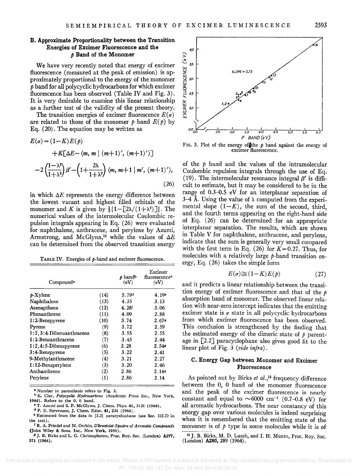## B. Approximate Proportionality between the Transition Energies of Excimer Fluorescence and the *p* Band of the Monomer

We have very recently noted that energy of excimer fluorescence (measured at the peak of emission) is approximately proportional to the energy of the monomer *p* band for all polycyclic hydrocarbons for which excimer fluorescence has been observed (Table IV and Fig. 3). It is very desirable to examine this linear relationship as a further test of the validity of the present theory.

The transition energies of excimer fluorescence  $E(\sigma)$ are related to those of the monomer  $p$  band  $E(p)$  by Eq. (20). The equation may be written as

$$
E(\sigma) = (1 - K)E(\rho)
$$
  
+K[\Delta E - \langle m, m | (m+1)', (m+1)' \rangle]  
-2\left(\frac{1 - \lambda^2}{1 + \lambda^2}\right)\beta' - \left(1 + \frac{2\lambda}{1 + \lambda^2}\right)\langle m, m+1 | m', (m+1)' \rangle, (26)

in which  $\Delta E$  represents the energy difference between the lowest vacant and highest filled orbitals of the monomer and *K* is given by  $\frac{1}{2}$ {1-[2\/(1+\\inequality)]}. The numerical values of the intermolecular Coulombic repulsion integrals appearing in Eq. (26) were evaluated for naphthalene, anthracene, and perylene by Azumi, Armstrong, and McGlynn,<sup>10</sup> while the values of  $\Delta E$ can be determined from the observed transition energy

TABLE IV. Energies of  $p$ -band and excimer fluorescence.

| Compound <sup>8</sup>    | p band <sup>b</sup><br>(eV) | Excimer<br>fluorescence <sup>®</sup><br>(eV) |                   |
|--------------------------|-----------------------------|----------------------------------------------|-------------------|
| $\n  b-Xylene\n$         | (14)                        | 5.79 <sup>d</sup>                            | 4.19 <sup>e</sup> |
| Naphthalene              | (13)                        | 4.35                                         | 3.13              |
| Acenapthene              | (12)                        | 4.28 <sup>t</sup>                            | 3.06              |
| Phenanthrene             | (11)                        | 4.09                                         | 2.88              |
| 1:2-Benzpyrene           | (10)                        | 3.74                                         | 2.67              |
| Pyrene                   | (9)                         | 3.72                                         | 2.59              |
| 1:2,3:4-Dibenzanthracene | (8)                         | 3.55                                         | 2.55              |
| $1:2$ -Benzanthracene    | (7)                         | 3.45                                         | 2.44              |
| $1:2,4:5$ -Dibenzpyrene  | (6)                         | 3.28                                         | 2.54              |
| 3:4-Benzpyrene           | (5)                         | 3.22                                         | 2.41              |
| 9-Methylanthracene       | (4)                         | 3.21                                         | 2.27              |
| $1:12$ -Benzperylene     | (3)                         | 3.20                                         | 2.46              |
| Anthanthrene             | (2)                         | 2.86                                         | 2.145             |
| Perylene                 | (1)                         | 2.86                                         | 2.14              |

a Number in parenthesis refers to Fig. 3.

b E. Clar, Polycyclic Hydrocarbons (Academic Press Inc., New York, 1964). Refers to the O. 0 band.

o T. Azumi and S. P. McGlynn, J. Chern. Phys. 41, 3131 (1964).

d P. E. Stevenson. J. Chern. Educ. 41, 234 (1964).

e Estimated from the data in [2.2) paracyclophane (see Sec. Ill.D in the text).

1 R. A. Friedel and M. Orchin. *UlIr8wolet Spectra of Aromatic Compounds*  (John Wiley & Sons, Inc., New York, 1951).

• J. B. Birks and L. G. Christophorou. Proc. Roy. Soc. (London) A277, 571 (1964).



FIG. 3. Plot of the energy of the  $p$  band against the energy of excimer fluorescence.

of the  $p$  band and the values of the intramolecular Coulombic repulsion integrals through the use of Eq. (19). The intermolecular resonance integral  $\beta'$  is difficult to estimate, but it may be considered to be in the range of 0.3-0.5 eV for an interplanar separation of 3-4 Å. Using the value of  $\lambda$  computed from the experimental slope  $(1-K)$ , the sum of the second, third, and the fourth terms appearing on the right-hand side of Eq. (26) can be determined for an appropriate interplanar separation. The results, which are shown in Table V for naphthalene, anthracene, and perylene, indicate that the sum is generally very small compared with the first term in Eq.  $(26)$  for  $K=0.27$ . Thus, for molecules with a relatively large  $p$ -band transition energy, Eq. (26) takes the simple form

$$
E(\sigma) \cong (1 - K)E(p) \tag{27}
$$

and it predicts a linear relationship between the transition energy of excimer fluorescence and that of the *p*  absorption band of monomer. The observed linear relation with near-zero intercept indicates that the emitting excimer state is  $\sigma$  state in all polycyclic hydrocarbons from which excimer fluorescence has been observed. This conclusion is strengthened by the finding that the estimated energy of the dimeric state of  $p$  parentage in  $[2.2]$  paracyclophane also gives good fit to the linear plot of Fig. 3 *(vide infra) .* 

## C. Energy Gap between Monomer and Excimer Fluorescence

As pointed out by Birks *et al.,13* frequency difference between the 0, 0 band of the monomer fluorescence and the peak of the excimer fluorescence is nearly constant and equal to  $\sim 6000$  cm<sup>-1</sup> (0.7-0.8 eV) for all aromatic hydrocarbons. The near constancy of this energy gap over various molecules is indeed surprising when it is remembered that the emitting state of the monomer is of  $\phi$  type in some molecules while it is of

<sup>13</sup> J. B. Birks, M. D. Lumb, and I. H. Munro, Proc. Roy. Soc. (London) A280, 289 (1964).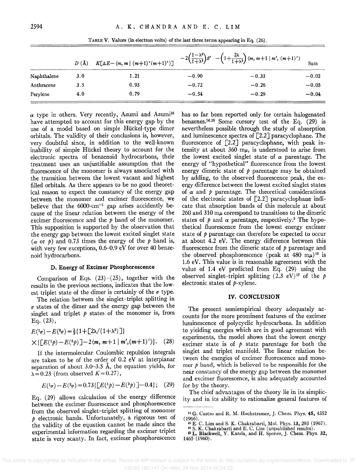|             | $D(\lambda)$ | $K[\Delta E-\langle m,m \mid (m+1)'(m+1)'\rangle]$ |         | $-2\left(\frac{1-\lambda^2}{1+\lambda^2}\right)\beta'$ $-\left(1+\frac{2\lambda}{1+\lambda^2}\right)\langle m, m+1 \mid m', (m+1)'\rangle$ | Sum     |  |
|-------------|--------------|----------------------------------------------------|---------|--------------------------------------------------------------------------------------------------------------------------------------------|---------|--|
| Naphthalene | 3.0          | 1.21                                               | $-0.90$ | $-0.33$                                                                                                                                    | $-0.02$ |  |
| Anthracene  | 3.5          | 0.93                                               | $-0.72$ | $-0.26$                                                                                                                                    | $-0.05$ |  |
| Perylene    | 4.0          | 0.79                                               | $-0.54$ | $-0.29$                                                                                                                                    | $-0.04$ |  |

TABLE V. Values (in electron volts) of the last three terms appearing in Eq. (26).

 $\alpha$  type in others. Very recently, Azumi and Azumi<sup>10</sup> have attempted to account for this energy gap by the use of a model based on simple Ruckel-type dimer orbitals. The validity of their conclusions is, however, very doubtful since, in addition to the well-known inability of simple Hückel theory to account for the electronic spectra of benzenoid hydrocarbons, their treatment uses an unjustifiable assumption that the fluorescence of the monomer is always associated with the transition between the lowest vacant and highest filled orbitals. As there appears to be no good theoretical reason to expect the constancy of the energy gap between the monomer and excimer fluorescence, we believe that the  $6000 \text{ cm}^{-1}$  gap arises accidently because of the linear relation between the energy of the excimer fluorescence and the *p* band of the monomer. This supposition is supported by the observation that the energy gap between the lowest excited singlet state  $(\alpha \text{ or } \rho)$  and 0.73 times the energy of the  $\rho$  band is, with very few exceptions, 0.6-0.9 eV for over 40 benzenoid hydrocarbons.

### D. Energy of Excimer Phosphorescence

Comparison of Eqs.  $(23)-(25)$ , together with the results in the previous sections, indicates that the lowest triplet state of the dimer is certainly of the  $\sigma$  type.

The relation between the singlet-triplet splitting in  $\sigma$  states of the dimer and the energy gap between the singlet and triplet  $p$  states of the monomer is, from Eq. (23),

$$
E^{\{1\sigma\}} - E^{\{3\sigma\}} = \frac{1}{2} \{1 + \left[\frac{2\lambda}{(1+\lambda^2)}\right]\}
$$
  
 
$$
\times \{\left[E^{\{1\sigma\}} - E^{\{3\sigma\}}\right] - 2\langle m, m+1 \mid m', (m+1)' \rangle\}. \quad (28)
$$

If the intermolecular Coulombic repulsion integrals are taken to be of the order of 0.2 eV at interplanar separation of about 3.0-3.5 Å, the equation yields, for  $\lambda = 0.23$  (from observed  $K = 0.27$ ),

$$
E({}^{1}\sigma) - E({}^{3}\sigma) = 0.73\left[\left[E({}^{1}p) - E({}^{3}p\right)\right] - 0.4\right]; \quad (29)
$$

Eq. (29) allows calculation of the energy difference between the excimer fluorescence and phosphorescence from the observed singlet-triplet splitting of monomer *p* electronic bands. Unfortunately, a rigorous test of the validity of the equation cannot be made since the experimental information regarding the excimer triplet state is very scanty. In fact, excimer phosphorescence has so far been reported only for certain halogenated benzenes.<sup>14,15</sup> Some cursory test of the Eq.  $(29)$  is nevertheless possible through the study of absorption and luminescence spectra of [2.2J paracyclophane. The fluorescence of  $\lceil 2.2 \rceil$  paracyclophane, with peak intensity at about 360  $m\mu$ , is understood to arise from the lowest excited singlet state of  $\alpha$  parentage. The energy of "hypothetical" fluorescence from the lowest energy dimeric state of  $\phi$  parentage may be obtained by adding, to the observed fluorescence peak, the energy difference between the lowest excited singlet states of  $\alpha$  and  $\beta$  parentage. The theoretical considerations of the electronic states of  $[2.2]$  paracyclophane indicate that absorption bands of this molecule at about  $260$  and  $310 \text{ m}\mu$  correspond to transitions to the dimeric states of  $\phi$  and  $\alpha$  parentage, respectively.<sup>3</sup> The hypothetical fluorescence from the lowest energy excimer state of *p* parentage can therefore be expected to occur at about 4.2 eV. The energy difference between this fluorescence from the dimeric state of *p* parentage and the observed phosphorescence (peak at  $480 \text{ m}\mu$ )<sup>16</sup> is 1.6 eV. This value is in reasonable agreement with the value of 1.4 eV predicted from Eq. (29) using the observed singlet-triplet splitting  $(2.3 \text{ eV})^{17}$  of the *p* electronic states of  $p$ -xylene.

#### IV. CONCLUSION

The present semiempirical theory adequately accounts for the more prominent features of the excimer luminescence of polycyclic hydrocarbons. In addition to yielding energies which are in good agreement with experiments, the model shows that the lowest energy excimer state is of  $\phi$  state parentage for both the singlet and triplet manifold. The linear relation between the energies of excimer fluorescence and monomer  $\phi$  band, which is believed to be responsible for the near constancy of the energy gap between the monomer and excimer fluorescence, is also adequately accounted for by the theory.

The chief advantages of the theory lie in its simplicity and in its ability to rationalize general features of

<sup>14</sup>G. Castro and R. M. Hochstrasser, J. Chern. Phys. 45, 4352  $(1966)$ .

<sup>&</sup>lt;sup>16</sup> E. C. Lim and S. K. Chakrabarti, Mol. Phys. 13, 293 (1967).<br><sup>16</sup> S. K. Chakrabarti and E. C. Lim (unpublished results).<br><sup>17</sup> L. Blackwell, Y. Kanda, and H. Sponer, J. Chem. Phys. 32,

<sup>1465 (1960).</sup>